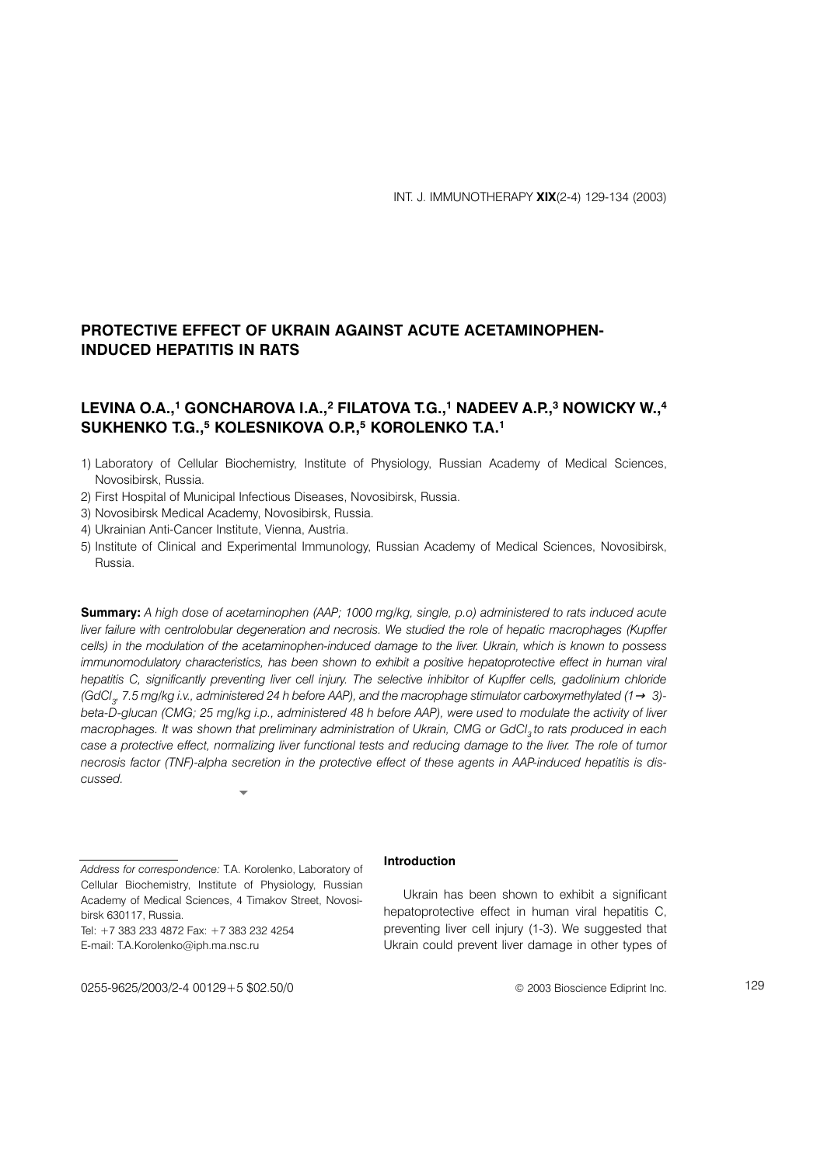# PROTECTIVE EFFECT OF UKRAIN AGAINST ACUTE ACETAMINOPHEN-**INDUCED HEPATITIS IN RATS**

## LEVINA O.A.,<sup>1</sup> GONCHAROVA I.A.,<sup>2</sup> FILATOVA T.G.,<sup>1</sup> NADEEV A.P.,<sup>3</sup> NOWICKY W.,<sup>4</sup> SUKHENKO T.G.,<sup>5</sup> KOLESNIKOVA O.P.,<sup>5</sup> KOROLENKO T.A.<sup>1</sup>

1) Laboratory of Cellular Biochemistry, Institute of Physiology, Russian Academy of Medical Sciences, Novosibirsk, Russia.

- 2) First Hospital of Municipal Infectious Diseases, Novosibirsk, Russia.
- 3) Novosibirsk Medical Academy, Novosibirsk, Russia.
- 4) Ukrainian Anti-Cancer Institute, Vienna, Austria.
- 5) Institute of Clinical and Experimental Immunology, Russian Academy of Medical Sciences, Novosibirsk, Russia

Summary: A high dose of acetaminophen (AAP; 1000 mg/kg, single, p.o) administered to rats induced acute liver failure with centrolobular degeneration and necrosis. We studied the role of hepatic macrophages (Kupffer cells) in the modulation of the acetaminophen-induced damage to the liver. Ukrain, which is known to possess immunomodulatory characteristics, has been shown to exhibit a positive hepatoprotective effect in human viral hepatitis C, significantly preventing liver cell injury. The selective inhibitor of Kupffer cells, gadolinium chloride (GdCl<sub>2</sub>, 7.5 mg/kg i.v., administered 24 h before AAP), and the macrophage stimulator carboxymethylated (1  $\rightarrow$  3)beta-D-glucan (CMG; 25 mg/kg i.p., administered 48 h before AAP), were used to modulate the activity of liver macrophages. It was shown that preliminary administration of Ukrain, CMG or GdCl<sub>3</sub> to rats produced in each case a protective effect, normalizing liver functional tests and reducing damage to the liver. The role of tumor necrosis factor (TNF)-alpha secretion in the protective effect of these agents in AAP-induced hepatitis is discussed

Address for correspondence: T.A. Korolenko, Laboratory of Cellular Biochemistry, Institute of Physiology, Russian Academy of Medical Sciences, 4 Timakov Street, Novosibirsk 630117, Russia.

Tel: +7 383 233 4872 Fax: +7 383 232 4254 E-mail: T.A.Korolenko@iph.ma.nsc.ru

## Introduction

Ukrain has been shown to exhibit a significant hepatoprotective effect in human viral hepatitis C, preventing liver cell injury (1-3). We suggested that Ukrain could prevent liver damage in other types of

0255-9625/2003/2-4 00129+5 \$02.50/0

© 2003 Bioscience Ediprint Inc.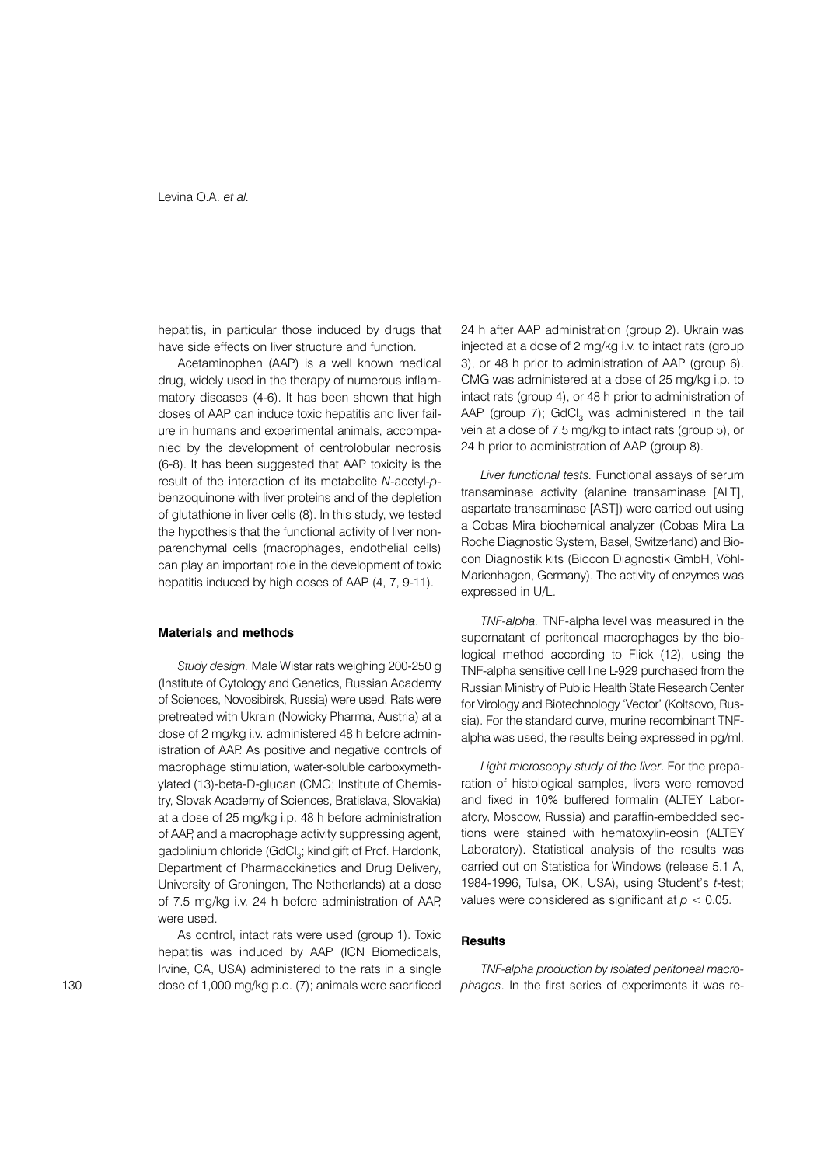hepatitis, in particular those induced by drugs that have side effects on liver structure and function.

Acetaminophen (AAP) is a well known medical drug, widely used in the therapy of numerous inflammatory diseases (4-6). It has been shown that high doses of AAP can induce toxic hepatitis and liver failure in humans and experimental animals, accompanied by the development of centrolobular necrosis (6-8). It has been suggested that AAP toxicity is the result of the interaction of its metabolite N-acetyl-pbenzoquinone with liver proteins and of the depletion of glutathione in liver cells (8). In this study, we tested the hypothesis that the functional activity of liver nonparenchymal cells (macrophages, endothelial cells) can play an important role in the development of toxic hepatitis induced by high doses of AAP (4, 7, 9-11).

### **Materials and methods**

Study design. Male Wistar rats weighing 200-250 g (Institute of Cytology and Genetics, Russian Academy of Sciences, Novosibirsk, Russia) were used. Rats were pretreated with Ukrain (Nowicky Pharma, Austria) at a dose of 2 mg/kg i.v. administered 48 h before administration of AAP. As positive and negative controls of macrophage stimulation, water-soluble carboxymethvlated (13)-beta-D-glucan (CMG; Institute of Chemistry, Slovak Academy of Sciences, Bratislava, Slovakia) at a dose of 25 mg/kg i.p. 48 h before administration of AAP, and a macrophage activity suppressing agent, gadolinium chloride (GdCl<sub>3</sub>; kind gift of Prof. Hardonk, Department of Pharmacokinetics and Drug Delivery, University of Groningen, The Netherlands) at a dose of 7.5 mg/kg i.v. 24 h before administration of AAP, were used.

As control, intact rats were used (group 1). Toxic hepatitis was induced by AAP (ICN Biomedicals, Irvine, CA, USA) administered to the rats in a single dose of 1,000 mg/kg p.o. (7); animals were sacrificed 24 h after AAP administration (group 2). Ukrain was injected at a dose of 2 mg/kg i.v. to intact rats (group 3), or 48 h prior to administration of AAP (group 6). CMG was administered at a dose of 25 mg/kg i.p. to intact rats (group 4), or 48 h prior to administration of AAP (group 7); GdCl<sub>3</sub> was administered in the tail vein at a dose of 7.5 mg/kg to intact rats (group 5), or 24 h prior to administration of AAP (group 8).

Liver functional tests. Functional assays of serum transaminase activity (alanine transaminase [ALT], aspartate transaminase [AST]) were carried out using a Cobas Mira biochemical analyzer (Cobas Mira La Roche Diagnostic System, Basel, Switzerland) and Biocon Diagnostik kits (Biocon Diagnostik GmbH, Vöhl-Marienhagen, Germany). The activity of enzymes was expressed in U/L.

TNF-alpha. TNF-alpha level was measured in the supernatant of peritoneal macrophages by the biological method according to Flick (12), using the TNF-alpha sensitive cell line L-929 purchased from the Russian Ministry of Public Health State Research Center for Virology and Biotechnology 'Vector' (Koltsovo, Russia). For the standard curve, murine recombinant TNFalpha was used, the results being expressed in pg/ml.

Light microscopy study of the liver. For the preparation of histological samples. livers were removed and fixed in 10% buffered formalin (ALTEY Laboratory. Moscow. Russia) and paraffin-embedded sections were stained with hematoxylin-eosin (ALTEY Laboratory). Statistical analysis of the results was carried out on Statistica for Windows (release 5.1 A. 1984-1996, Tulsa, OK, USA), using Student's t-test; values were considered as significant at  $p < 0.05$ .

#### **Results**

TNF-alpha production by isolated peritoneal macrophages. In the first series of experiments it was re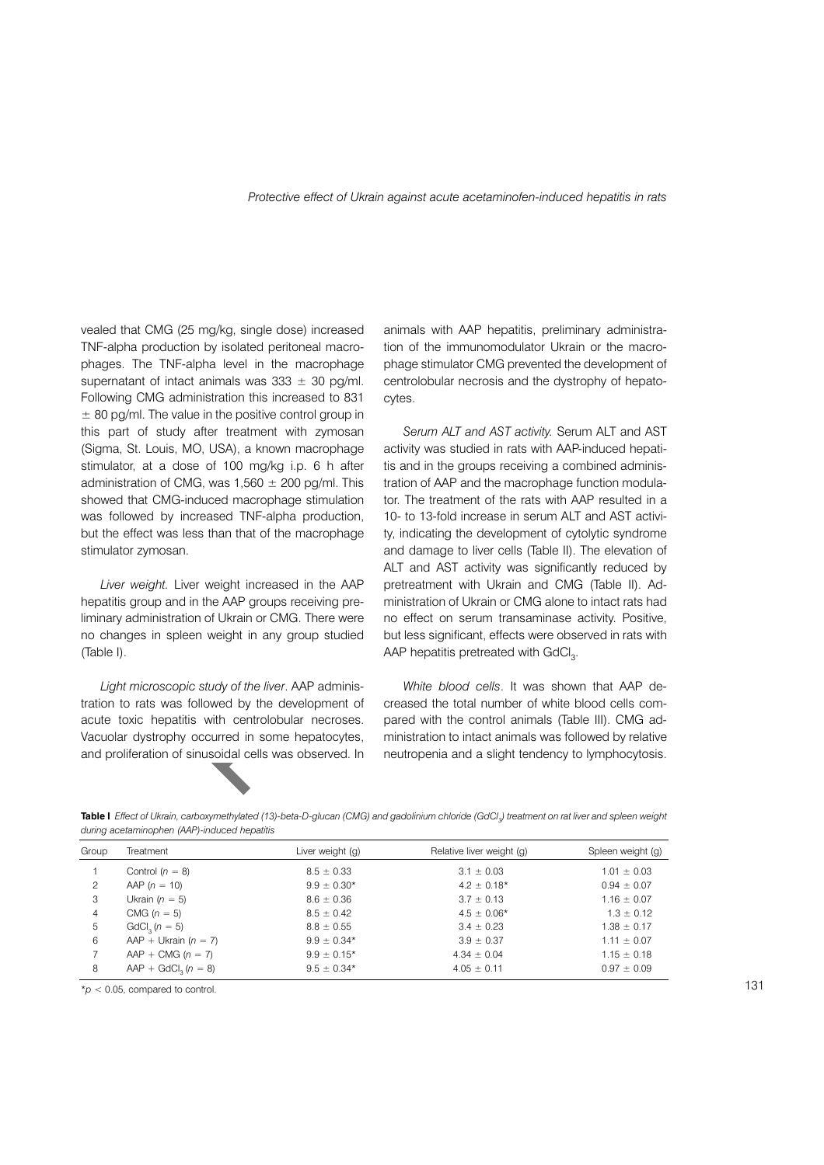vealed that CMG (25 mg/kg, single dose) increased TNF-alpha production by isolated peritoneal macrophages. The TNF-alpha level in the macrophage supernatant of intact animals was  $333 \pm 30$  pg/ml. Following CMG administration this increased to 831  $\pm$  80 pg/ml. The value in the positive control group in this part of study after treatment with zymosan (Sigma, St. Louis, MO, USA), a known macrophage stimulator, at a dose of 100 mg/kg i.p. 6 h after administration of CMG, was  $1,560 \pm 200$  pg/ml. This showed that CMG-induced macrophage stimulation was followed by increased TNF-alpha production, but the effect was less than that of the macrophage stimulator zymosan.

Liver weight. Liver weight increased in the AAP hepatitis group and in the AAP groups receiving preliminary administration of Ukrain or CMG. There were no changes in spleen weight in any group studied (Table I).

Light microscopic study of the liver. AAP administration to rats was followed by the development of acute toxic hepatitis with centrolobular necroses. Vacuolar dystrophy occurred in some hepatocytes, and proliferation of sinusoidal cells was observed. In

animals with AAP hepatitis, preliminary administration of the immunomodulator Ukrain or the macrophage stimulator CMG prevented the development of centrolobular necrosis and the dystrophy of hepatocytes.

Serum ALT and AST activity. Serum ALT and AST activity was studied in rats with AAP-induced hepatitis and in the groups receiving a combined administration of AAP and the macrophage function modulator. The treatment of the rats with AAP resulted in a 10- to 13-fold increase in serum ALT and AST activity, indicating the development of cytolytic syndrome and damage to liver cells (Table II). The elevation of ALT and AST activity was significantly reduced by pretreatment with Ukrain and CMG (Table II). Administration of Ukrain or CMG alone to intact rats had no effect on serum transaminase activity. Positive, but less significant, effects were observed in rats with AAP hepatitis pretreated with GdCl<sub>2</sub>.

White blood cells. It was shown that AAP decreased the total number of white blood cells compared with the control animals (Table III). CMG administration to intact animals was followed by relative neutropenia and a slight tendency to lymphocytosis.

Table I Effect of Ukrain, carboxymethylated (13)-beta-D-glucan (CMG) and gadolinium chloride (GdCl.) treatment on rat liver and spleen weight during acetaminophen (AAP)-induced hepatitis

| Group | Treatment                 | Liver weight (g) | Relative liver weight (g) | Spleen weight (g) |
|-------|---------------------------|------------------|---------------------------|-------------------|
|       | Control $(n = 8)$         | $8.5 \pm 0.33$   | $3.1 \pm 0.03$            | $1.01 \pm 0.03$   |
| 2     | AAP $(n = 10)$            | $9.9 \pm 0.30*$  | $4.2 \pm 0.18*$           | $0.94 \pm 0.07$   |
| 3     | Ukrain $(n = 5)$          | $8.6 \pm 0.36$   | $3.7 \pm 0.13$            | $1.16 \pm 0.07$   |
| 4     | CMG $(n = 5)$             | $8.5 \pm 0.42$   | $4.5 \pm 0.06*$           | $1.3 \pm 0.12$    |
| 5     | $GdCl2 (n = 5)$           | $8.8 \pm 0.55$   | $3.4 \pm 0.23$            | $1.38 \pm 0.17$   |
| 6     | AAP + Ukrain $(n = 7)$    | $9.9 \pm 0.34*$  | $3.9 \pm 0.37$            | $1.11 \pm 0.07$   |
|       | $AAP + CMG (n = 7)$       | $9.9 \pm 0.15^*$ | $4.34 \pm 0.04$           | $1.15 \pm 0.18$   |
| 8     | $AAP + GdCl2$ ( $n = 8$ ) | $9.5 \pm 0.34*$  | $4.05 \pm 0.11$           | $0.97 \pm 0.09$   |

 $*_p$  < 0.05, compared to control.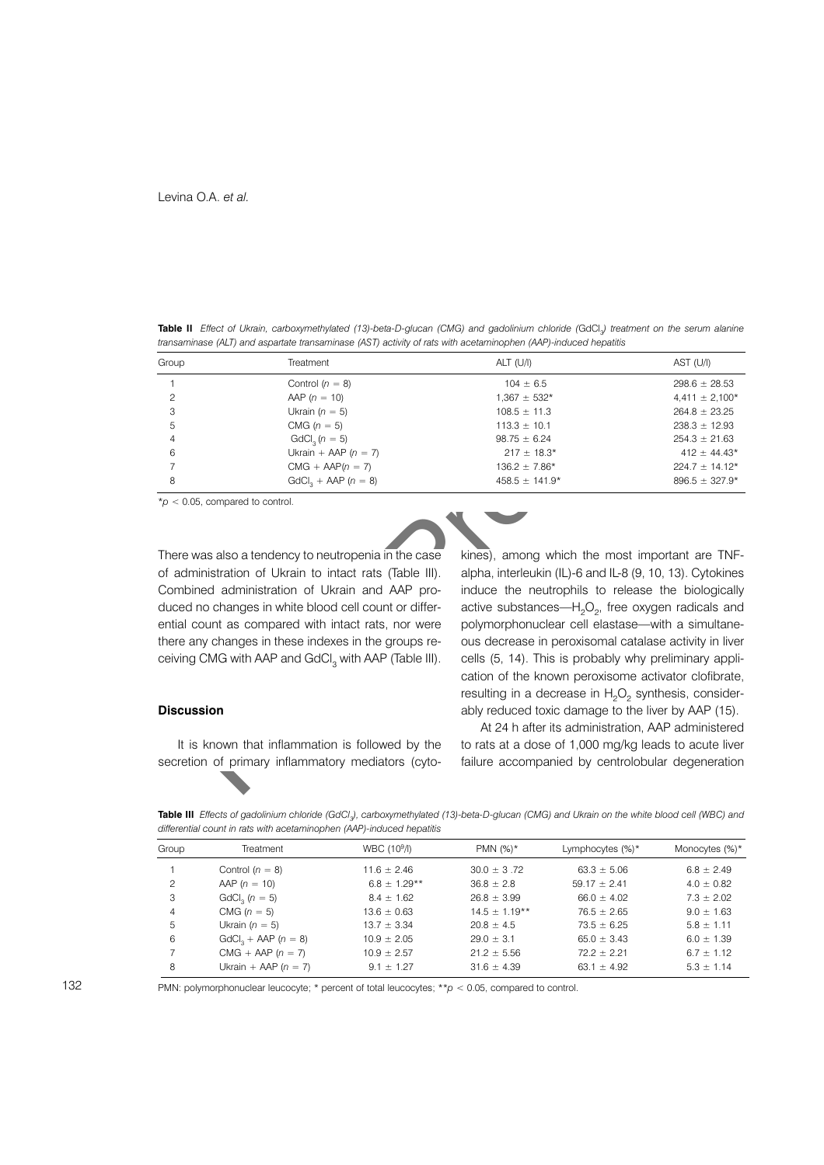Table II Effect of Ukrain, carboxymethylated (13)-beta-D-glucan (CMG) and gadolinium chloride (GdCl.) treatment on the serum alanine transaminase (ALT) and aspartate transaminase (AST) activity of rats with acetaminophen (AAP)-induced hepatitis

| Group | Treatment              | $ALT$ (U/I)        | AST (U/I)           |
|-------|------------------------|--------------------|---------------------|
|       | Control $(n = 8)$      | $104 \pm 6.5$      | $298.6 \pm 28.53$   |
|       | AAP $(n = 10)$         | $1,367 \pm 532*$   | $4,411 \pm 2,100*$  |
| 3     | Ukrain $(n = 5)$       | $108.5 \pm 11.3$   | $264.8 \pm 23.25$   |
| 5     | CMG $(n = 5)$          | $113.3 \pm 10.1$   | $238.3 \pm 12.93$   |
| 4     | $GdCl2 (n = 5)$        | $98.75 \pm 6.24$   | $254.3 \pm 21.63$   |
| 6     | Ukrain + AAP $(n = 7)$ | $217 \pm 18.3*$    | $412 \pm 44.43*$    |
|       | $CMG + AAP(n = 7)$     | $136.2 \pm 7.86*$  | $224.7 \pm 14.12^*$ |
| 8     | $GdCl_2 + AAP (n = 8)$ | $458.5 \pm 141.9*$ | $896.5 \pm 327.9*$  |

 $*$ p < 0.05, compared to control

There was also a tendency to neutropenia in the case of administration of Ukrain to intact rats (Table III). Combined administration of Ukrain and AAP produced no changes in white blood cell count or differential count as compared with intact rats, nor were there any changes in these indexes in the groups receiving CMG with AAP and GdCl<sub>2</sub> with AAP (Table III).

#### **Discussion**

It is known that inflammation is followed by the secretion of primary inflammatory mediators (cytokines), among which the most important are TNFalpha, interleukin (IL)-6 and IL-8 (9, 10, 13). Cytokines induce the neutrophils to release the biologically active substances— $H_2O_2$ , free oxygen radicals and polymorphonuclear cell elastase-with a simultaneous decrease in peroxisomal catalase activity in liver cells (5, 14). This is probably why preliminary application of the known peroxisome activator clofibrate, resulting in a decrease in H<sub>2</sub>O<sub>2</sub> synthesis, considerably reduced toxic damage to the liver by AAP (15).

At 24 h after its administration, AAP administered to rats at a dose of 1,000 mg/kg leads to acute liver failure accompanied by centrolobular degeneration

Table III Effects of gadolinium chloride (GdCl.), carboxymethylated (13)-beta-D-glucan (CMG) and Ukrain on the white blood cell (WBC) and differential count in rats with acetaminophen (AAP)-induced hepatitis

| Group | Treatment                   | WBC (10 <sup>9</sup> /l) | PMN $(%)^*$       | Lymphocytes $(\%)^*$ | Monocytes (%)* |
|-------|-----------------------------|--------------------------|-------------------|----------------------|----------------|
|       | Control $(n = 8)$           | $11.6 \pm 2.46$          | $30.0 \pm 3.72$   | $63.3 \pm 5.06$      | $6.8 \pm 2.49$ |
| 2     | AAP $(n = 10)$              | $6.8 \pm 1.29**$         | $36.8 \pm 2.8$    | $59.17 \pm 2.41$     | $4.0 \pm 0.82$ |
| 3     | GdCl <sub>2</sub> $(n = 5)$ | $8.4 \pm 1.62$           | $26.8 \pm 3.99$   | $66.0 \pm 4.02$      | $7.3 \pm 2.02$ |
| 4     | CMG $(n = 5)$               | $13.6 \pm 0.63$          | $14.5 \pm 1.19**$ | $76.5 \pm 2.65$      | $9.0 \pm 1.63$ |
| 5     | Ukrain ( $n = 5$ )          | $13.7 \pm 3.34$          | $20.8 \pm 4.5$    | $73.5 \pm 6.25$      | $5.8 \pm 1.11$ |
| 6     | $GdCl_2 + AAP$ ( $n = 8$ )  | $10.9 \pm 2.05$          | $29.0 \pm 3.1$    | $65.0 \pm 3.43$      | $6.0 \pm 1.39$ |
|       | $CMG + AAP (n = 7)$         | $10.9 \pm 2.57$          | $21.2 \pm 5.56$   | $72.2 \pm 2.21$      | $6.7 \pm 1.12$ |
| 8     | Ukrain + AAP $(n = 7)$      | $9.1 \pm 1.27$           | $31.6 \pm 4.39$   | 63.1 $\pm$ 4.92      | $5.3 \pm 1.14$ |
|       |                             |                          |                   |                      |                |

PMN: polymorphonuclear leucocyte: \* percent of total leucocytes: \*\* $p < 0.05$ . compared to control.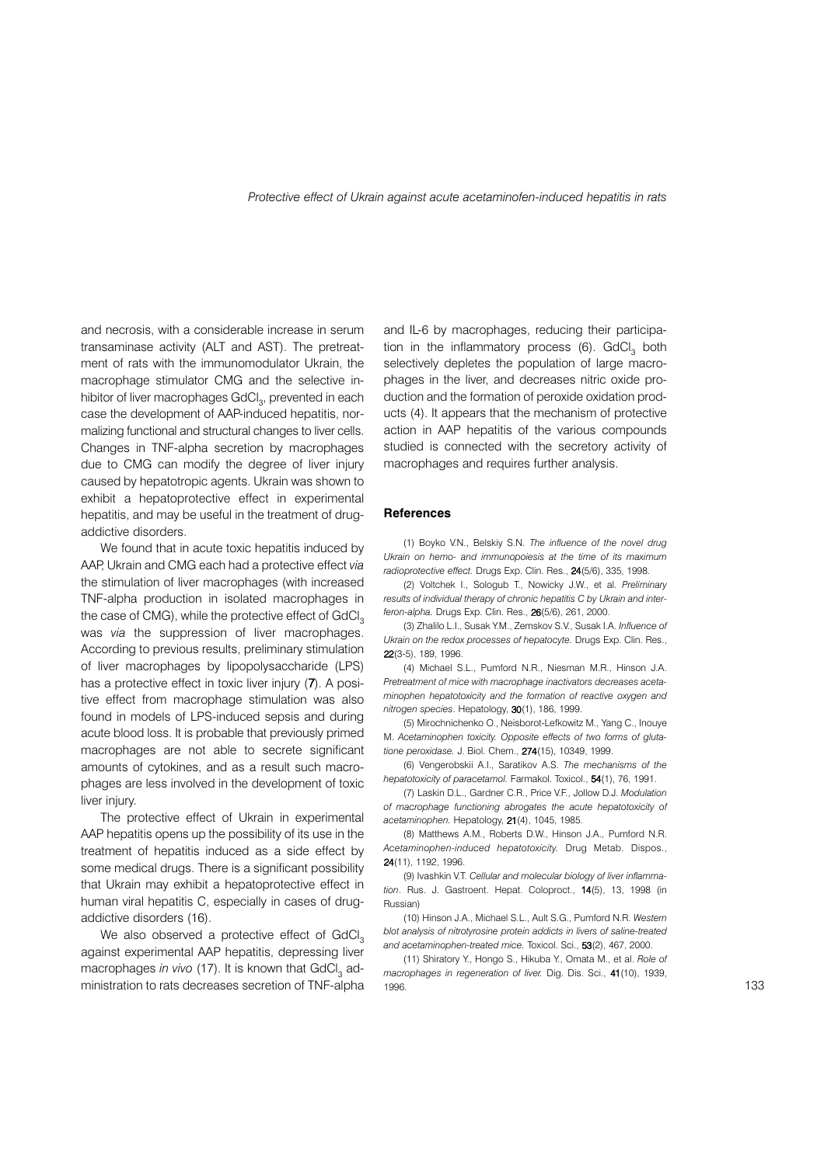and necrosis, with a considerable increase in serum transaminase activity (ALT and AST). The pretreatment of rats with the immunomodulator Ukrain, the macrophage stimulator CMG and the selective inhibitor of liver macrophages GdCl<sub>3</sub>, prevented in each case the development of AAP-induced hepatitis, normalizing functional and structural changes to liver cells. Changes in TNF-alpha secretion by macrophages due to CMG can modify the degree of liver injury caused by hepatotropic agents. Ukrain was shown to exhibit a hepatoprotective effect in experimental hepatitis, and may be useful in the treatment of drugaddictive disorders

We found that in acute toxic hepatitis induced by AAP, Ukrain and CMG each had a protective effect via the stimulation of liver macrophages (with increased TNF-alpha production in isolated macrophages in the case of CMG), while the protective effect of GdCl<sub>2</sub> was via the suppression of liver macrophages. According to previous results, preliminary stimulation of liver macrophages by lipopolysaccharide (LPS) has a protective effect in toxic liver injury (7). A positive effect from macrophage stimulation was also found in models of LPS-induced sepsis and during acute blood loss. It is probable that previously primed macrophages are not able to secrete significant amounts of cytokines, and as a result such macrophages are less involved in the development of toxic liver injury.

The protective effect of Ukrain in experimental AAP hepatitis opens up the possibility of its use in the treatment of hepatitis induced as a side effect by some medical drugs. There is a significant possibility that Ukrain may exhibit a hepatoprotective effect in human viral hepatitis C, especially in cases of drugaddictive disorders (16).

We also observed a protective effect of GdCl<sub>2</sub> against experimental AAP hepatitis, depressing liver macrophages in vivo (17). It is known that GdCl<sub>2</sub> administration to rats decreases secretion of TNF-alpha

and IL-6 by macrophages, reducing their participation in the inflammatory process (6). GdCl<sub>2</sub> both selectively depletes the population of large macrophages in the liver, and decreases nitric oxide production and the formation of peroxide oxidation products (4). It appears that the mechanism of protective action in AAP hepatitis of the various compounds studied is connected with the secretory activity of macrophages and requires further analysis.

### **References**

(1) Boyko V.N., Belskiy S.N. The influence of the novel drug Ukrain on hemo- and immunopoiesis at the time of its maximum radioprotective effect. Drugs Exp. Clin. Res., 24(5/6), 335, 1998.

(2) Voltchek I., Sologub T., Nowicky J.W., et al. Preliminary results of individual therapy of chronic hepatitis C by Ukrain and interferon-alpha. Drugs Exp. Clin. Res., 26(5/6), 261, 2000.

(3) Zhalilo L.L. Susak Y.M., Zemskov S.V., Susak I.A. Influence of Ukrain on the redox processes of hepatocyte. Drugs Exp. Clin. Res., 22(3-5), 189, 1996.

(4) Michael S.L., Pumford N.R., Niesman M.R., Hinson J.A. Pretreatment of mice with macrophage inactivators decreases acetaminophen hepatotoxicity and the formation of reactive oxygen and nitrogen species. Hepatology, 30(1), 186, 1999.

(5) Mirochnichenko O Neisborot-Lefkowitz M Yang C Inouve M. Acetaminophen toxicity. Opposite effects of two forms of glutatione peroxidase, J. Biol. Chem., 274(15), 10349, 1999.

(6) Vengerobskii A.I., Saratikov A.S. The mechanisms of the hepatotoxicity of paracetamol. Farmakol. Toxicol., 54(1), 76, 1991.

(7) Laskin D.L., Gardner C.R., Price V.F., Jollow D.J. Modulation of macrophage functioning abrogates the acute hepatotoxicity of acetaminophen. Hepatology, 21(4), 1045, 1985.

(8) Matthews A.M., Roberts D.W., Hinson J.A., Pumford N.R. Acetaminophen-induced hepatotoxicity. Drug Metab. Dispos., 24(11), 1192, 1996

(9) Ivashkin V.T. Cellular and molecular biology of liver inflammation. Rus. J. Gastroent. Hepat. Coloproct., 14(5), 13, 1998 (in Russian)

(10) Hinson J.A., Michael S.L., Ault S.G., Pumford N.R. Western blot analysis of nitrotyrosine protein addicts in livers of saline-treated and acetaminophen-treated mice. Toxicol. Sci., 53(2), 467, 2000.

(11) Shiratory Y., Hongo S., Hikuba Y., Omata M., et al. Role of macrophages in regeneration of liver. Dig. Dis. Sci., 41(10), 1939, 1996